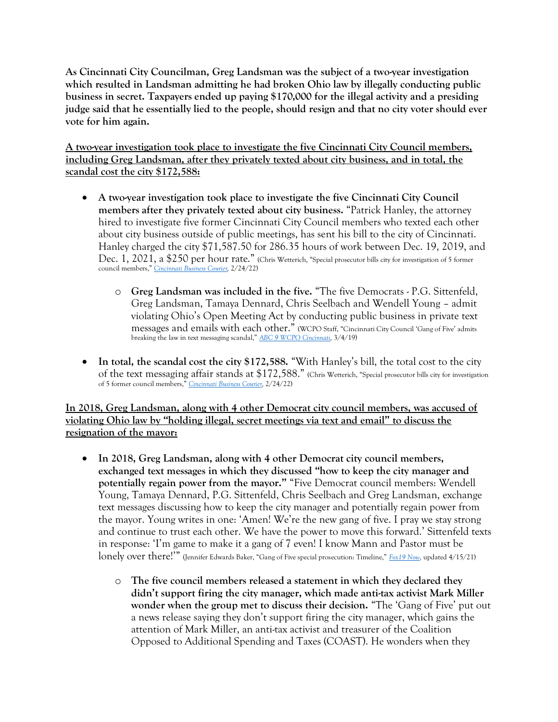**As Cincinnati City Councilman, Greg Landsman was the subject of a two-year investigation which resulted in Landsman admitting he had broken Ohio law by illegally conducting public business in secret. Taxpayers ended up paying \$170,000 for the illegal activity and a presiding judge said that he essentially lied to the people, should resign and that no city voter should ever vote for him again.**

**A two-year investigation took place to investigate the five Cincinnati City Council members, including Greg Landsman, after they privately texted about city business, and in total, the scandal cost the city \$172,588:** 

- **A two-year investigation took place to investigate the five Cincinnati City Council members after they privately texted about city business.** "Patrick Hanley, the attorney hired to investigate five former Cincinnati City Council members who texted each other about city business outside of public meetings, has sent his bill to the city of Cincinnati. Hanley charged the city \$71,587.50 for 286.35 hours of work between Dec. 19, 2019, and Dec. 1, 2021, a \$250 per hour rate." (Chris Wetterich, "Special prosecutor bills city for investigation of 5 former council members," *[Cincinnati Business Courier,](https://www.bizjournals.com/cincinnati/news/2022/02/24/special-prosecutor-bills-city-for-investigation-of.html)* 2/24/22)
	- o **Greg Landsman was included in the five.** "The five Democrats P.G. Sittenfeld, Greg Landsman, Tamaya Dennard, Chris Seelbach and Wendell Young – admit violating Ohio's Open Meeting Act by conducting public business in private text messages and emails with each other." (WCPO Staff, "Cincinnati City Council 'Gang of Five' admits breaking the law in text messaging scandal," *[ABC 9 WCPO Cincinnati,](https://www.wcpo.com/news/local-news/hamilton-county/cincinnati/cincinnati-city-council-gang-of-five-admits-breaking-the-law-in-text-messaging-scandal)* 3/4/19)
- **In total, the scandal cost the city \$172,588.** "With Hanley's bill, the total cost to the city of the text messaging affair stands at \$172,588." (Chris Wetterich, "Special prosecutor bills city for investigation of 5 former council members," *[Cincinnati Business Courier,](https://www.bizjournals.com/cincinnati/news/2022/02/24/special-prosecutor-bills-city-for-investigation-of.html)* 2/24/22)

**In 2018, Greg Landsman, along with 4 other Democrat city council members, was accused of violating Ohio law by "holding illegal, secret meetings via text and email" to discuss the resignation of the mayor:** 

- **In 2018, Greg Landsman, along with 4 other Democrat city council members, exchanged text messages in which they discussed "how to keep the city manager and potentially regain power from the mayor."** "Five Democrat council members: Wendell Young, Tamaya Dennard, P.G. Sittenfeld, Chris Seelbach and Greg Landsman, exchange text messages discussing how to keep the city manager and potentially regain power from the mayor. Young writes in one: 'Amen! We're the new gang of five. I pray we stay strong and continue to trust each other. We have the power to move this forward.' Sittenfeld texts in response: 'I'm game to make it a gang of 7 even! I know Mann and Pastor must be lonely over there!'" (Jennifer Edwards Baker, "Gang of Five special prosecution: Timeline," *[Fox19 Now,](https://www.fox19.com/2021/04/15/gang-five-special-prosecution-timeline/)* updated 4/15/21)
	- o **The five council members released a statement in which they declared they didn't support firing the city manager, which made anti-tax activist Mark Miller wonder when the group met to discuss their decision.** "The 'Gang of Five' put out a news release saying they don't support firing the city manager, which gains the attention of Mark Miller, an anti-tax activist and treasurer of the Coalition Opposed to Additional Spending and Taxes (COAST). He wonders when they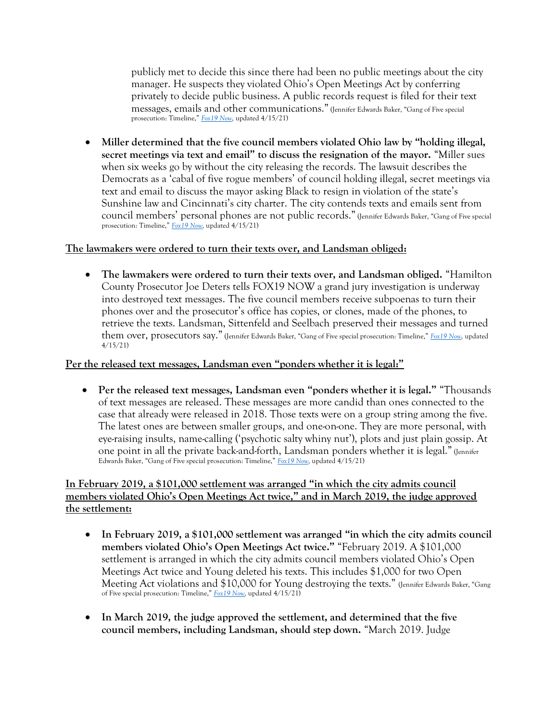publicly met to decide this since there had been no public meetings about the city manager. He suspects they violated Ohio's Open Meetings Act by conferring privately to decide public business. A public records request is filed for their text messages, emails and other communications." (Jennifer Edwards Baker, "Gang of Five special prosecution: Timeline," *[Fox19 Now,](https://www.fox19.com/2021/04/15/gang-five-special-prosecution-timeline/)* updated 4/15/21)

• **Miller determined that the five council members violated Ohio law by "holding illegal, secret meetings via text and email" to discuss the resignation of the mayor.** "Miller sues when six weeks go by without the city releasing the records. The lawsuit describes the Democrats as a 'cabal of five rogue members' of council holding illegal, secret meetings via text and email to discuss the mayor asking Black to resign in violation of the state's Sunshine law and Cincinnati's city charter. The city contends texts and emails sent from council members' personal phones are not public records." (Jennifer Edwards Baker, "Gang of Five special prosecution: Timeline," *[Fox19 Now,](https://www.fox19.com/2021/04/15/gang-five-special-prosecution-timeline/)* updated 4/15/21)

### **The lawmakers were ordered to turn their texts over, and Landsman obliged:**

• **The lawmakers were ordered to turn their texts over, and Landsman obliged.** "Hamilton County Prosecutor Joe Deters tells FOX19 NOW a grand jury investigation is underway into destroyed text messages. The five council members receive subpoenas to turn their phones over and the prosecutor's office has copies, or clones, made of the phones, to retrieve the texts. Landsman, Sittenfeld and Seelbach preserved their messages and turned them over, prosecutors say." (Jennifer Edwards Baker, "Gang of Five special prosecution: Timeline," *[Fox19 Now,](https://www.fox19.com/2021/04/15/gang-five-special-prosecution-timeline/)* updated 4/15/21)

# **Per the released text messages, Landsman even "ponders whether it is legal:"**

• **Per the released text messages, Landsman even "ponders whether it is legal."** "Thousands of text messages are released. These messages are more candid than ones connected to the case that already were released in 2018. Those texts were on a group string among the five. The latest ones are between smaller groups, and one-on-one. They are more personal, with eye-raising insults, name-calling ('psychotic salty whiny nut'), plots and just plain gossip. At one point in all the private back-and-forth, Landsman ponders whether it is legal." (Jennifer Edwards Baker, "Gang of Five special prosecution: Timeline," *[Fox19 Now,](https://www.fox19.com/2021/04/15/gang-five-special-prosecution-timeline/)* updated 4/15/21)

# **In February 2019, a \$101,000 settlement was arranged "in which the city admits council members violated Ohio's Open Meetings Act twice," and in March 2019, the judge approved the settlement:**

- **In February 2019, a \$101,000 settlement was arranged "in which the city admits council members violated Ohio's Open Meetings Act twice."** "February 2019. A \$101,000 settlement is arranged in which the city admits council members violated Ohio's Open Meetings Act twice and Young deleted his texts. This includes \$1,000 for two Open Meeting Act violations and \$10,000 for Young destroying the texts." (Jennifer Edwards Baker, "Gang of Five special prosecution: Timeline," *[Fox19 Now,](https://www.fox19.com/2021/04/15/gang-five-special-prosecution-timeline/)* updated 4/15/21)
- **In March 2019, the judge approved the settlement, and determined that the five council members, including Landsman, should step down.** "March 2019. Judge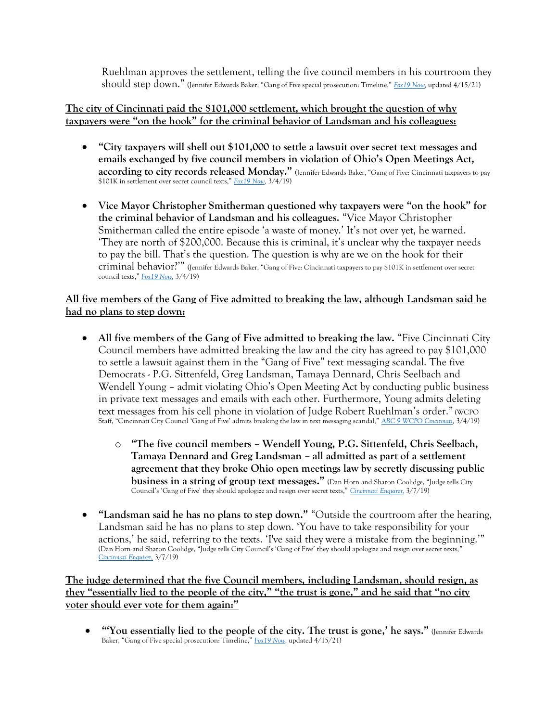Ruehlman approves the settlement, telling the five council members in his courtroom they should step down." (Jennifer Edwards Baker, "Gang of Five special prosecution: Timeline," *[Fox19 Now,](https://www.fox19.com/2021/04/15/gang-five-special-prosecution-timeline/)* updated 4/15/21)

### **The city of Cincinnati paid the \$101,000 settlement, which brought the question of why taxpayers were "on the hook" for the criminal behavior of Landsman and his colleagues:**

- **"City taxpayers will shell out \$101,000 to settle a lawsuit over secret text messages and emails exchanged by five council members in violation of Ohio's Open Meetings Act, according to city records released Monday."** (Jennifer Edwards Baker, "Gang of Five: Cincinnati taxpayers to pay \$101K in settlement over secret council texts," *[Fox19 Now,](https://www.fox19.com/2019/03/04/gang-five-cincinnati-taxpayers-pay-k-settlement-over-secret-council-texts/)* 3/4/19)
- **Vice Mayor Christopher Smitherman questioned why taxpayers were "on the hook" for the criminal behavior of Landsman and his colleagues.** "Vice Mayor Christopher Smitherman called the entire episode 'a waste of money.' It's not over yet, he warned. 'They are north of \$200,000. Because this is criminal, it's unclear why the taxpayer needs to pay the bill. That's the question. The question is why are we on the hook for their criminal behavior?'" (Jennifer Edwards Baker, "Gang of Five: Cincinnati taxpayers to pay \$101K in settlement over secret council texts," *[Fox19 Now,](https://www.fox19.com/2019/03/04/gang-five-cincinnati-taxpayers-pay-k-settlement-over-secret-council-texts/)* 3/4/19)

# **All five members of the Gang of Five admitted to breaking the law, although Landsman said he had no plans to step down:**

- All five members of the Gang of Five admitted to breaking the law. "Five Cincinnati City" Council members have admitted breaking the law and the city has agreed to pay \$101,000 to settle a lawsuit against them in the "Gang of Five" text messaging scandal. The five Democrats - P.G. Sittenfeld, Greg Landsman, Tamaya Dennard, Chris Seelbach and Wendell Young – admit violating Ohio's Open Meeting Act by conducting public business in private text messages and emails with each other. Furthermore, Young admits deleting text messages from his cell phone in violation of Judge Robert Ruehlman's order." (WCPO Staff, "Cincinnati City Council 'Gang of Five' admits breaking the law in text messaging scandal," *[ABC 9 WCPO Cincinnati,](https://www.wcpo.com/news/local-news/hamilton-county/cincinnati/cincinnati-city-council-gang-of-five-admits-breaking-the-law-in-text-messaging-scandal)* 3/4/19)
	- o **"The five council members – Wendell Young, P.G. Sittenfeld, Chris Seelbach, Tamaya Dennard and Greg Landsman – all admitted as part of a settlement agreement that they broke Ohio open meetings law by secretly discussing public business in a string of group text messages."** (Dan Horn and Sharon Coolidge, "Judge tells City Council's 'Gang of Five' they should apologize and resign over secret texts," *[Cincinnati Enquirer,](https://www.cincinnati.com/story/news/politics/2019/03/07/cincinnati-texting-case-council-members-admit-breaking-law/3089766002/)* 3/7/19)
- **"Landsman said he has no plans to step down."** "Outside the courtroom after the hearing, Landsman said he has no plans to step down. 'You have to take responsibility for your actions,' he said, referring to the texts. 'I've said they were a mistake from the beginning.'" (Dan Horn and Sharon Coolidge, "Judge tells City Council's 'Gang of Five' they should apologize and resign over secret texts," *[Cincinnati Enquirer,](https://www.cincinnati.com/story/news/politics/2019/03/07/cincinnati-texting-case-council-members-admit-breaking-law/3089766002/)* 3/7/19)

**The judge determined that the five Council members, including Landsman, should resign, as they "essentially lied to the people of the city," "the trust is gone," and he said that "no city voter should ever vote for them again:"** 

• **"'You essentially lied to the people of the city. The trust is gone,' he says."** (Jennifer Edwards Baker, "Gang of Five special prosecution: Timeline," *[Fox19 Now,](https://www.fox19.com/2021/04/15/gang-five-special-prosecution-timeline/)* updated 4/15/21)